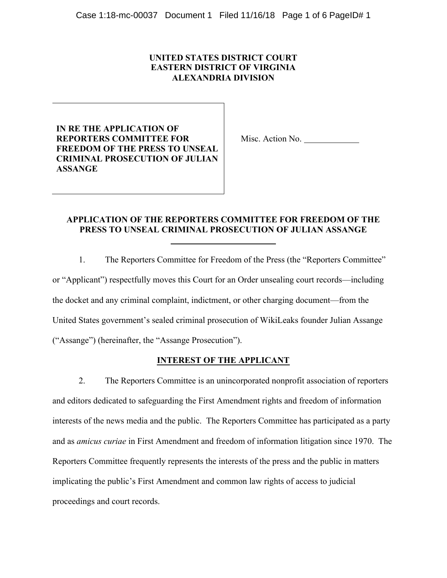### **UNITED STATES DISTRICT COURT EASTERN DISTRICT OF VIRGINIA ALEXANDRIA DIVISION**

**IN RE THE APPLICATION OF REPORTERS COMMITTEE FOR FREEDOM OF THE PRESS TO UNSEAL CRIMINAL PROSECUTION OF JULIAN ASSANGE**

Misc. Action No.

# **APPLICATION OF THE REPORTERS COMMITTEE FOR FREEDOM OF THE PRESS TO UNSEAL CRIMINAL PROSECUTION OF JULIAN ASSANGE**

1. The Reporters Committee for Freedom of the Press (the "Reporters Committee" or "Applicant") respectfully moves this Court for an Order unsealing court records—including the docket and any criminal complaint, indictment, or other charging document—from the United States government's sealed criminal prosecution of WikiLeaks founder Julian Assange ("Assange") (hereinafter, the "Assange Prosecution").

## **INTEREST OF THE APPLICANT**

2. The Reporters Committee is an unincorporated nonprofit association of reporters and editors dedicated to safeguarding the First Amendment rights and freedom of information interests of the news media and the public. The Reporters Committee has participated as a party and as *amicus curiae* in First Amendment and freedom of information litigation since 1970. The Reporters Committee frequently represents the interests of the press and the public in matters implicating the public's First Amendment and common law rights of access to judicial proceedings and court records.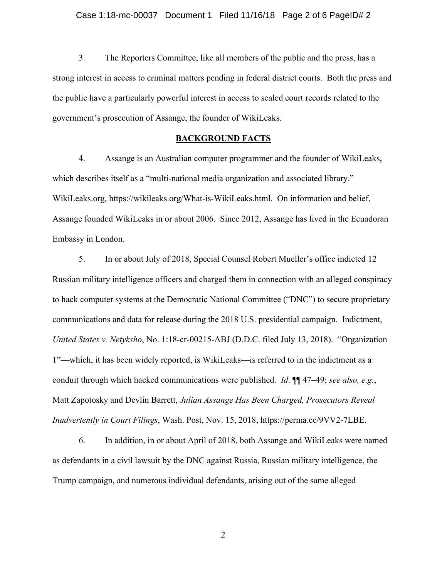3. The Reporters Committee, like all members of the public and the press, has a strong interest in access to criminal matters pending in federal district courts. Both the press and the public have a particularly powerful interest in access to sealed court records related to the government's prosecution of Assange, the founder of WikiLeaks.

### **BACKGROUND FACTS**

4. Assange is an Australian computer programmer and the founder of WikiLeaks, which describes itself as a "multi-national media organization and associated library." WikiLeaks.org, https://wikileaks.org/What-is-WikiLeaks.html. On information and belief, Assange founded WikiLeaks in or about 2006. Since 2012, Assange has lived in the Ecuadoran Embassy in London.

5. In or about July of 2018, Special Counsel Robert Mueller's office indicted 12 Russian military intelligence officers and charged them in connection with an alleged conspiracy to hack computer systems at the Democratic National Committee ("DNC") to secure proprietary communications and data for release during the 2018 U.S. presidential campaign. Indictment, *United States v. Netyksho*, No. 1:18-cr-00215-ABJ (D.D.C. filed July 13, 2018). "Organization 1"—which, it has been widely reported, is WikiLeaks—is referred to in the indictment as a conduit through which hacked communications were published. *Id*. ¶¶ 47–49; *see also, e.g.*, Matt Zapotosky and Devlin Barrett, *Julian Assange Has Been Charged, Prosecutors Reveal Inadvertently in Court Filings*, Wash. Post, Nov. 15, 2018, https://perma.cc/9VV2-7LBE.

6. In addition, in or about April of 2018, both Assange and WikiLeaks were named as defendants in a civil lawsuit by the DNC against Russia, Russian military intelligence, the Trump campaign, and numerous individual defendants, arising out of the same alleged

2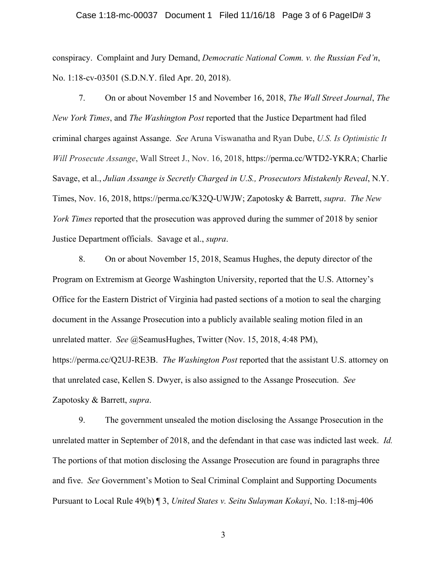#### Case 1:18-mc-00037 Document 1 Filed 11/16/18 Page 3 of 6 PageID# 3

conspiracy. Complaint and Jury Demand, *Democratic National Comm. v. the Russian Fed'n*, No. 1:18-cv-03501 (S.D.N.Y. filed Apr. 20, 2018).

7. On or about November 15 and November 16, 2018, *The Wall Street Journal*, *The New York Times*, and *The Washington Post* reported that the Justice Department had filed criminal charges against Assange. *See* Aruna Viswanatha and Ryan Dube, *U.S. Is Optimistic It Will Prosecute Assange*, Wall Street J., Nov. 16, 2018, https://perma.cc/WTD2-YKRA; Charlie Savage, et al., *Julian Assange is Secretly Charged in U.S., Prosecutors Mistakenly Reveal*, N.Y. Times, Nov. 16, 2018, https://perma.cc/K32Q-UWJW; Zapotosky & Barrett, *supra*. *The New York Times* reported that the prosecution was approved during the summer of 2018 by senior Justice Department officials. Savage et al., *supra*.

8. On or about November 15, 2018, Seamus Hughes, the deputy director of the Program on Extremism at George Washington University, reported that the U.S. Attorney's Office for the Eastern District of Virginia had pasted sections of a motion to seal the charging document in the Assange Prosecution into a publicly available sealing motion filed in an unrelated matter. *See* @SeamusHughes, Twitter (Nov. 15, 2018, 4:48 PM), https://perma.cc/Q2UJ-RE3B. *The Washington Post* reported that the assistant U.S. attorney on that unrelated case, Kellen S. Dwyer, is also assigned to the Assange Prosecution. *See*  Zapotosky & Barrett, *supra*.

9. The government unsealed the motion disclosing the Assange Prosecution in the unrelated matter in September of 2018, and the defendant in that case was indicted last week. *Id.* The portions of that motion disclosing the Assange Prosecution are found in paragraphs three and five. *See* Government's Motion to Seal Criminal Complaint and Supporting Documents Pursuant to Local Rule 49(b) ¶ 3, *United States v. Seitu Sulayman Kokayi*, No. 1:18-mj-406

3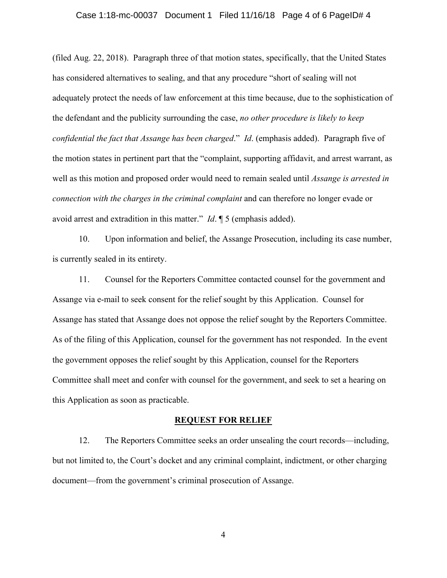#### Case 1:18-mc-00037 Document 1 Filed 11/16/18 Page 4 of 6 PageID# 4

(filed Aug. 22, 2018). Paragraph three of that motion states, specifically, that the United States has considered alternatives to sealing, and that any procedure "short of sealing will not adequately protect the needs of law enforcement at this time because, due to the sophistication of the defendant and the publicity surrounding the case, *no other procedure is likely to keep confidential the fact that Assange has been charged*." *Id*. (emphasis added). Paragraph five of the motion states in pertinent part that the "complaint, supporting affidavit, and arrest warrant, as well as this motion and proposed order would need to remain sealed until *Assange is arrested in connection with the charges in the criminal complaint* and can therefore no longer evade or avoid arrest and extradition in this matter." *Id*. ¶ 5 (emphasis added).

10. Upon information and belief, the Assange Prosecution, including its case number, is currently sealed in its entirety.

11. Counsel for the Reporters Committee contacted counsel for the government and Assange via e-mail to seek consent for the relief sought by this Application. Counsel for Assange has stated that Assange does not oppose the relief sought by the Reporters Committee. As of the filing of this Application, counsel for the government has not responded. In the event the government opposes the relief sought by this Application, counsel for the Reporters Committee shall meet and confer with counsel for the government, and seek to set a hearing on this Application as soon as practicable.

#### **REQUEST FOR RELIEF**

12. The Reporters Committee seeks an order unsealing the court records—including, but not limited to, the Court's docket and any criminal complaint, indictment, or other charging document—from the government's criminal prosecution of Assange.

4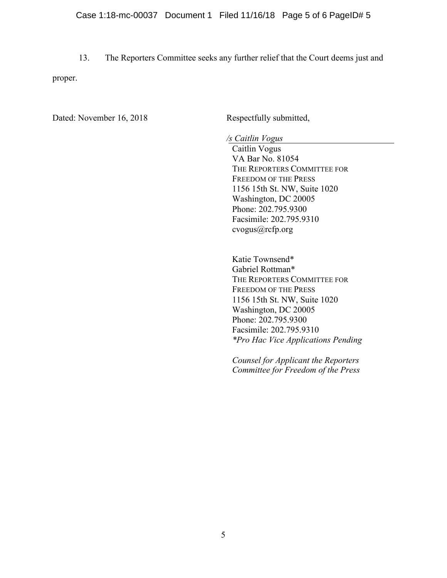13. The Reporters Committee seeks any further relief that the Court deems just and proper.

Dated: November 16, 2018 Respectfully submitted,

*/s Caitlin Vogus*

Caitlin Vogus VA Bar No. 81054 THE REPORTERS COMMITTEE FOR FREEDOM OF THE PRESS 1156 15th St. NW, Suite 1020 Washington, DC 20005 Phone: 202.795.9300 Facsimile: 202.795.9310 cvogus@rcfp.org

Katie Townsend\* Gabriel Rottman\* THE REPORTERS COMMITTEE FOR FREEDOM OF THE PRESS 1156 15th St. NW, Suite 1020 Washington, DC 20005 Phone: 202.795.9300 Facsimile: 202.795.9310 *\*Pro Hac Vice Applications Pending*

*Counsel for Applicant the Reporters Committee for Freedom of the Press*